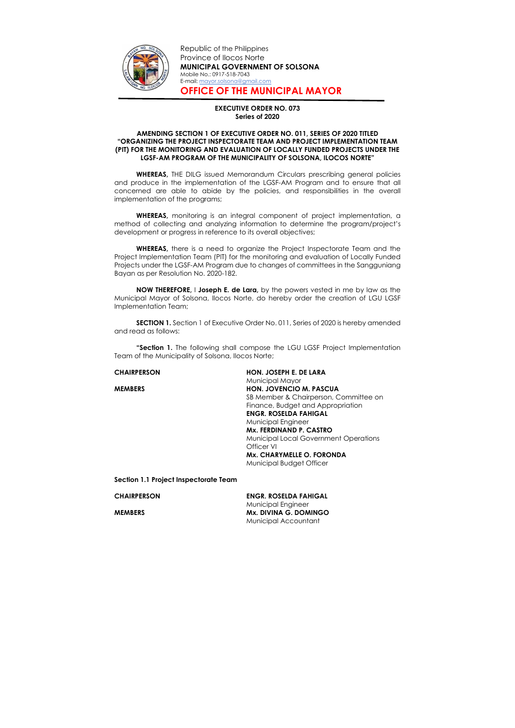

Republic of the Philippines Province of Ilocos Norte MUNICIPAL GOVERNMENT OF SOLSONA Mobile No.: 0917-518-7043 E-mail: mayor.solsona@gmail.com OFFICE OF THE MUNICIPAL MAYOR

## EXECUTIVE ORDER NO. 073 Series of 2020

## AMENDING SECTION 1 OF EXECUTIVE ORDER NO. 011, SERIES OF 2020 TITLED "ORGANIZING THE PROJECT INSPECTORATE TEAM AND PROJECT IMPLEMENTATION TEAM (PIT) FOR THE MONITORING AND EVALUATION OF LOCALLY FUNDED PROJECTS UNDER THE LGSF-AM PROGRAM OF THE MUNICIPALITY OF SOLSONA, ILOCOS NORTE"

WHEREAS, THE DILG issued Memorandum Circulars prescribing general policies and produce in the implementation of the LGSF-AM Program and to ensure that all concerned are able to abide by the policies, and responsibilities in the overall implementation of the programs;

WHEREAS, there is a need to organize the Project Inspectorate Team and the Project Implementation Team (PIT) for the monitoring and evaluation of Locally Funded Projects under the LGSF-AM Program due to changes of committees in the Sangguniang Bayan as per Resolution No. 2020-182.

"Section 1. The following shall compose the LGU LGSF Project Implementation Team of the Municipality of Solsona, Ilocos Norte;

WHEREAS, monitoring is an integral component of project implementation, a method of collecting and analyzing information to determine the program/project's development or progress in reference to its overall objectives;

NOW THEREFORE, I Joseph E. de Lara, by the powers vested in me by law as the Municipal Mayor of Solsona, Ilocos Norte, do hereby order the creation of LGU LGSF Implementation Team;

SECTION 1. Section 1 of Executive Order No. 011, Series of 2020 is hereby amended and read as follows:

CHAIRPERSON HON. JOSEPH E. DE LARA Municipal Mayor MEMBERS HON. JOVENCIO M. PASCUA SB Member & Chairperson, Committee on Finance, Budget and Appropriation ENGR. ROSELDA FAHIGAL Municipal Engineer Mx. FERDINAND P. CASTRO Municipal Local Government Operations Officer VI Mx. CHARYMELLE O. FORONDA Municipal Budget Officer

Section 1.1 Project Inspectorate Team

CHAIRPERSON ENGR. ROSELDA FAHIGAL Municipal Engineer MEMBERS MX. DIVINA G. DOMINGO Municipal Accountant